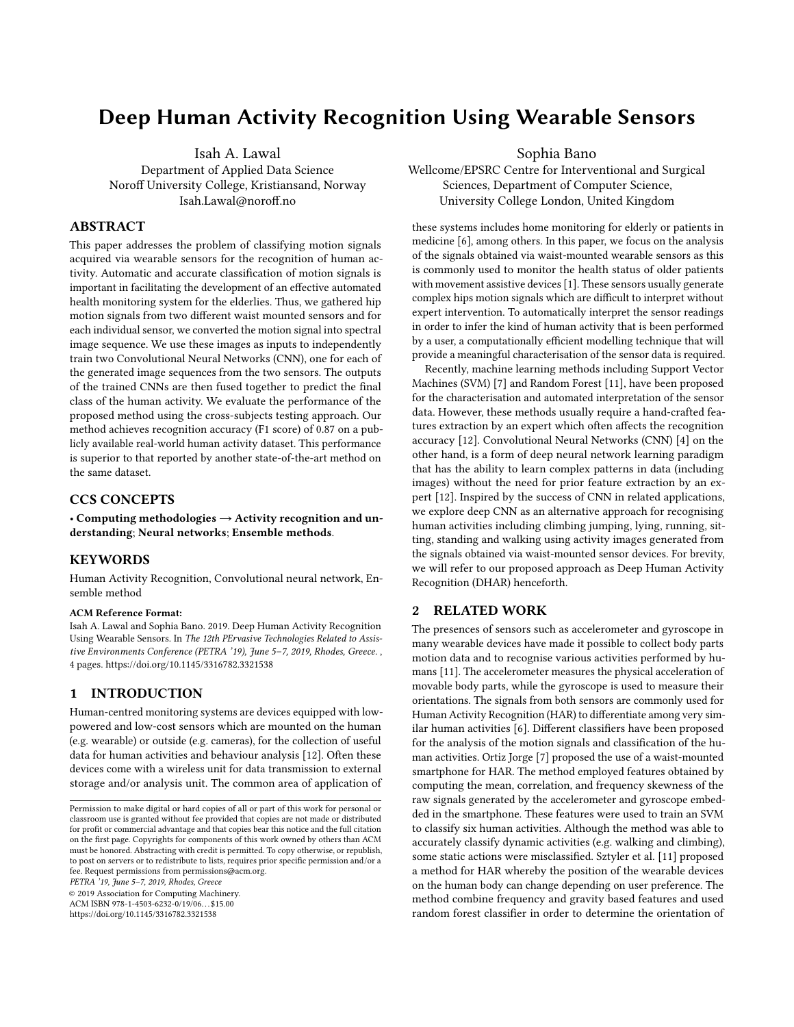# Deep Human Activity Recognition Using Wearable Sensors

Isah A. Lawal Department of Applied Data Science Noroff University College, Kristiansand, Norway Isah.Lawal@noroff.no

#### ABSTRACT

This paper addresses the problem of classifying motion signals acquired via wearable sensors for the recognition of human activity. Automatic and accurate classification of motion signals is important in facilitating the development of an effective automated health monitoring system for the elderlies. Thus, we gathered hip motion signals from two different waist mounted sensors and for each individual sensor, we converted the motion signal into spectral image sequence. We use these images as inputs to independently train two Convolutional Neural Networks (CNN), one for each of the generated image sequences from the two sensors. The outputs of the trained CNNs are then fused together to predict the final class of the human activity. We evaluate the performance of the proposed method using the cross-subjects testing approach. Our method achieves recognition accuracy (F1 score) of 0.87 on a publicly available real-world human activity dataset. This performance is superior to that reported by another state-of-the-art method on the same dataset.

# CCS CONCEPTS

• Computing methodologies → Activity recognition and understanding; Neural networks; Ensemble methods.

#### KEYWORDS

Human Activity Recognition, Convolutional neural network, Ensemble method

#### ACM Reference Format:

Isah A. Lawal and Sophia Bano. 2019. Deep Human Activity Recognition Using Wearable Sensors. In The 12th PErvasive Technologies Related to Assistive Environments Conference (PETRA '19), June 5-7, 2019, Rhodes, Greece., [4](#page-3-0) pages.<https://doi.org/10.1145/3316782.3321538>

### 1 INTRODUCTION

Human-centred monitoring systems are devices equipped with lowpowered and low-cost sensors which are mounted on the human (e.g. wearable) or outside (e.g. cameras), for the collection of useful data for human activities and behaviour analysis [\[12\]](#page-3-1). Often these devices come with a wireless unit for data transmission to external storage and/or analysis unit. The common area of application of

PETRA '19, June 5–7, 2019, Rhodes, Greece

© 2019 Association for Computing Machinery.

ACM ISBN 978-1-4503-6232-0/19/06. . . \$15.00 <https://doi.org/10.1145/3316782.3321538>

Sophia Bano

Wellcome/EPSRC Centre for Interventional and Surgical Sciences, Department of Computer Science, University College London, United Kingdom

these systems includes home monitoring for elderly or patients in medicine [\[6\]](#page-3-2), among others. In this paper, we focus on the analysis of the signals obtained via waist-mounted wearable sensors as this is commonly used to monitor the health status of older patients with movement assistive devices [\[1\]](#page-3-3). These sensors usually generate complex hips motion signals which are difficult to interpret without expert intervention. To automatically interpret the sensor readings in order to infer the kind of human activity that is been performed by a user, a computationally efficient modelling technique that will provide a meaningful characterisation of the sensor data is required.

Recently, machine learning methods including Support Vector Machines (SVM) [\[7\]](#page-3-4) and Random Forest [\[11\]](#page-3-5), have been proposed for the characterisation and automated interpretation of the sensor data. However, these methods usually require a hand-crafted features extraction by an expert which often affects the recognition accuracy [\[12\]](#page-3-1). Convolutional Neural Networks (CNN) [\[4\]](#page-3-6) on the other hand, is a form of deep neural network learning paradigm that has the ability to learn complex patterns in data (including images) without the need for prior feature extraction by an expert [\[12\]](#page-3-1). Inspired by the success of CNN in related applications, we explore deep CNN as an alternative approach for recognising human activities including climbing jumping, lying, running, sitting, standing and walking using activity images generated from the signals obtained via waist-mounted sensor devices. For brevity, we will refer to our proposed approach as Deep Human Activity Recognition (DHAR) henceforth.

#### 2 RELATED WORK

The presences of sensors such as accelerometer and gyroscope in many wearable devices have made it possible to collect body parts motion data and to recognise various activities performed by humans [\[11\]](#page-3-5). The accelerometer measures the physical acceleration of movable body parts, while the gyroscope is used to measure their orientations. The signals from both sensors are commonly used for Human Activity Recognition (HAR) to differentiate among very similar human activities [\[6\]](#page-3-2). Different classifiers have been proposed for the analysis of the motion signals and classification of the human activities. Ortiz Jorge [\[7\]](#page-3-4) proposed the use of a waist-mounted smartphone for HAR. The method employed features obtained by computing the mean, correlation, and frequency skewness of the raw signals generated by the accelerometer and gyroscope embedded in the smartphone. These features were used to train an SVM to classify six human activities. Although the method was able to accurately classify dynamic activities (e.g. walking and climbing), some static actions were misclassified. Sztyler et al. [\[11\]](#page-3-5) proposed a method for HAR whereby the position of the wearable devices on the human body can change depending on user preference. The method combine frequency and gravity based features and used random forest classifier in order to determine the orientation of

Permission to make digital or hard copies of all or part of this work for personal or classroom use is granted without fee provided that copies are not made or distributed for profit or commercial advantage and that copies bear this notice and the full citation on the first page. Copyrights for components of this work owned by others than ACM must be honored. Abstracting with credit is permitted. To copy otherwise, or republish, to post on servers or to redistribute to lists, requires prior specific permission and/or a fee. Request permissions from permissions@acm.org.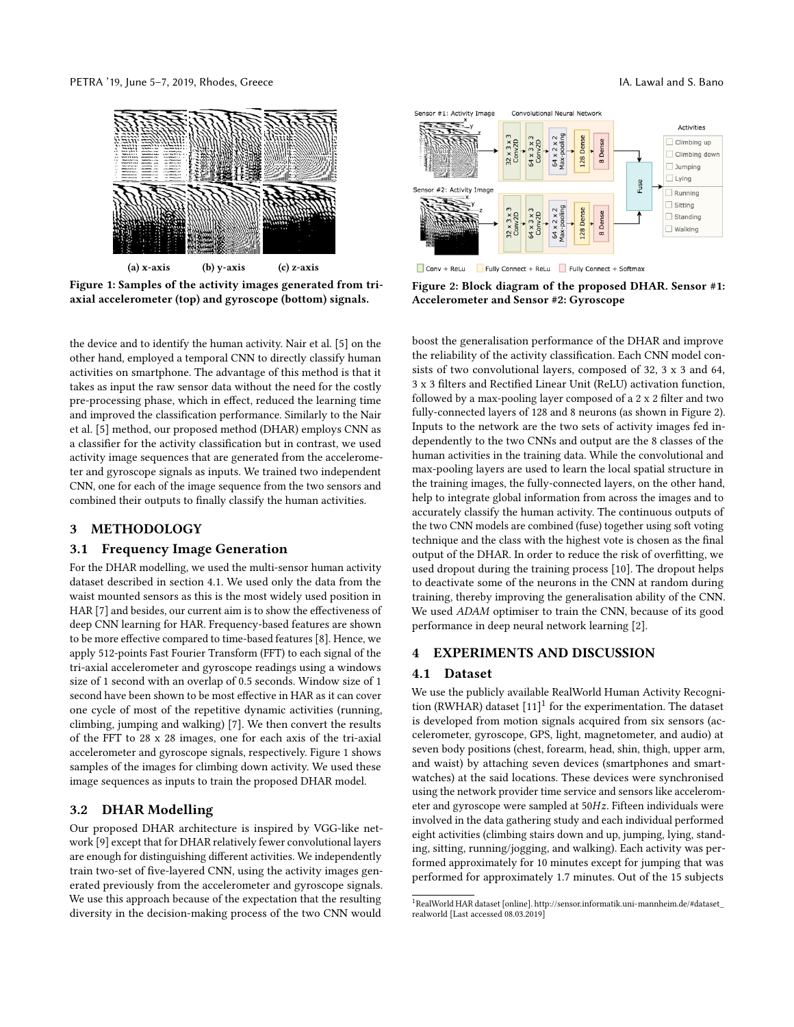<span id="page-1-1"></span>PETRA '19, June 5–7, 2019, Rhodes, Greece IA. Lawal and S. Bano



Figure 1: Samples of the activity images generated from triaxial accelerometer (top) and gyroscope (bottom) signals.

the device and to identify the human activity. Nair et al. [\[5\]](#page-3-7) on the other hand, employed a temporal CNN to directly classify human activities on smartphone. The advantage of this method is that it takes as input the raw sensor data without the need for the costly pre-processing phase, which in effect, reduced the learning time and improved the classification performance. Similarly to the Nair et al. [\[5\]](#page-3-7) method, our proposed method (DHAR) employs CNN as a classifier for the activity classification but in contrast, we used activity image sequences that are generated from the accelerometer and gyroscope signals as inputs. We trained two independent CNN, one for each of the image sequence from the two sensors and combined their outputs to finally classify the human activities.

# 3 METHODOLOGY

### 3.1 Frequency Image Generation

For the DHAR modelling, we used the multi-sensor human activity dataset described in section [4.1.](#page-1-0) We used only the data from the waist mounted sensors as this is the most widely used position in HAR [\[7\]](#page-3-4) and besides, our current aim is to show the effectiveness of deep CNN learning for HAR. Frequency-based features are shown to be more effective compared to time-based features [\[8\]](#page-3-8). Hence, we apply 512-points Fast Fourier Transform (FFT) to each signal of the tri-axial accelerometer and gyroscope readings using a windows size of 1 second with an overlap of 0.5 seconds. Window size of 1 second have been shown to be most effective in HAR as it can cover one cycle of most of the repetitive dynamic activities (running, climbing, jumping and walking) [\[7\]](#page-3-4). We then convert the results of the FFT to 28 x 28 images, one for each axis of the tri-axial accelerometer and gyroscope signals, respectively. Figure [1](#page-1-1) shows samples of the images for climbing down activity. We used these image sequences as inputs to train the proposed DHAR model.

# 3.2 DHAR Modelling

Our proposed DHAR architecture is inspired by VGG-like network [\[9\]](#page-3-9) except that for DHAR relatively fewer convolutional layers are enough for distinguishing different activities. We independently train two-set of five-layered CNN, using the activity images generated previously from the accelerometer and gyroscope signals. We use this approach because of the expectation that the resulting diversity in the decision-making process of the two CNN would

<span id="page-1-2"></span>

Conv + ReLu Fully Connect + ReLu Fully Connect + Softmax

Figure 2: Block diagram of the proposed DHAR. Sensor #1: Accelerometer and Sensor #2: Gyroscope

boost the generalisation performance of the DHAR and improve the reliability of the activity classification. Each CNN model consists of two convolutional layers, composed of 32, 3 x 3 and 64, 3 x 3 filters and Rectified Linear Unit (ReLU) activation function, followed by a max-pooling layer composed of a 2 x 2 filter and two fully-connected layers of 128 and 8 neurons (as shown in Figure [2\)](#page-1-2). Inputs to the network are the two sets of activity images fed independently to the two CNNs and output are the 8 classes of the human activities in the training data. While the convolutional and max-pooling layers are used to learn the local spatial structure in the training images, the fully-connected layers, on the other hand, help to integrate global information from across the images and to accurately classify the human activity. The continuous outputs of the two CNN models are combined (fuse) together using soft voting technique and the class with the highest vote is chosen as the final output of the DHAR. In order to reduce the risk of overfitting, we used dropout during the training process [\[10\]](#page-3-10). The dropout helps to deactivate some of the neurons in the CNN at random during training, thereby improving the generalisation ability of the CNN. We used ADAM optimiser to train the CNN, because of its good performance in deep neural network learning [\[2\]](#page-3-11).

### 4 EXPERIMENTS AND DISCUSSION

### <span id="page-1-0"></span>4.1 Dataset

We use the publicly available RealWorld Human Activity Recognition (RWHAR) dataset  $[11]$ <sup>[1](#page-1-3)</sup> for the experimentation. The dataset is developed from motion signals acquired from six sensors (accelerometer, gyroscope, GPS, light, magnetometer, and audio) at seven body positions (chest, forearm, head, shin, thigh, upper arm, and waist) by attaching seven devices (smartphones and smartwatches) at the said locations. These devices were synchronised using the network provider time service and sensors like accelerometer and gyroscope were sampled at 50Hz. Fifteen individuals were involved in the data gathering study and each individual performed eight activities (climbing stairs down and up, jumping, lying, standing, sitting, running/jogging, and walking). Each activity was performed approximately for 10 minutes except for jumping that was performed for approximately 1.7 minutes. Out of the 15 subjects

<span id="page-1-3"></span><sup>1</sup>RealWorld HAR dataset [online][. http://sensor.informatik.uni-mannheim.de/#dataset\\_](http://sensor.informatik.uni-mannheim.de/#dataset_realworld) [realworld](http://sensor.informatik.uni-mannheim.de/#dataset_realworld) [Last accessed 08.03.2019]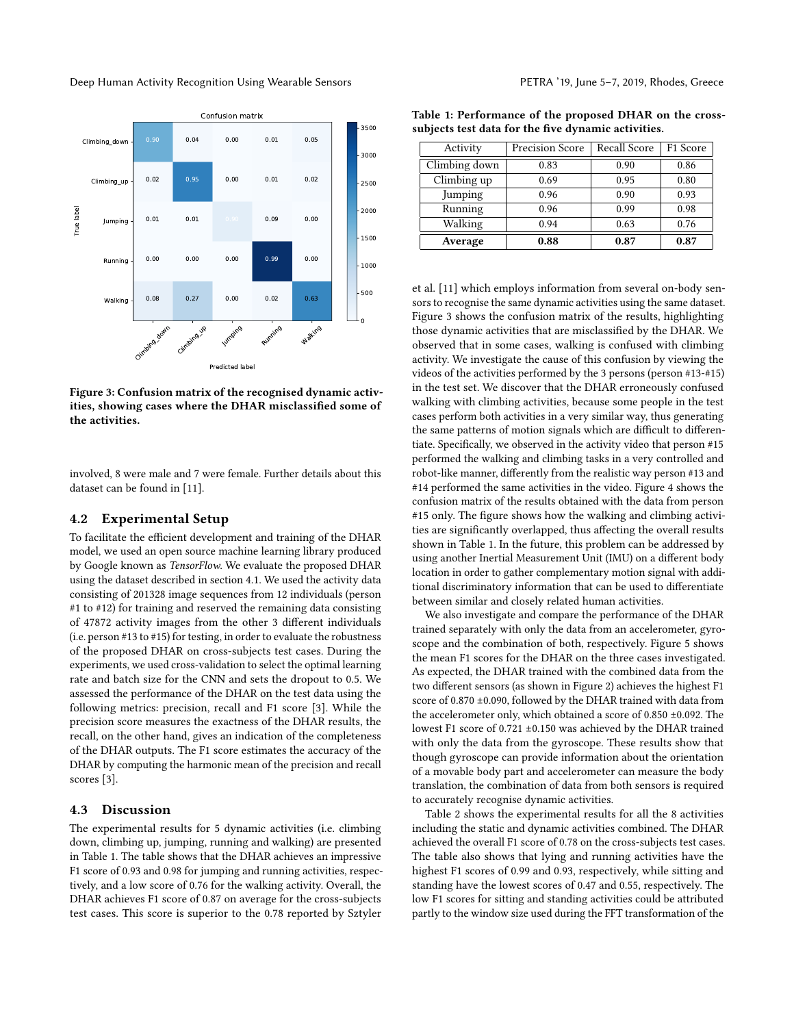<span id="page-2-1"></span>

Figure 3: Confusion matrix of the recognised dynamic activities, showing cases where the DHAR misclassified some of the activities.

involved, 8 were male and 7 were female. Further details about this dataset can be found in [\[11\]](#page-3-5).

### 4.2 Experimental Setup

To facilitate the efficient development and training of the DHAR model, we used an open source machine learning library produced by Google known as TensorFlow. We evaluate the proposed DHAR using the dataset described in section [4.1.](#page-1-0) We used the activity data consisting of 201328 image sequences from 12 individuals (person #1 to #12) for training and reserved the remaining data consisting of 47872 activity images from the other 3 different individuals (i.e. person #13 to #15) for testing, in order to evaluate the robustness of the proposed DHAR on cross-subjects test cases. During the experiments, we used cross-validation to select the optimal learning rate and batch size for the CNN and sets the dropout to 0.5. We assessed the performance of the DHAR on the test data using the following metrics: precision, recall and F1 score [\[3\]](#page-3-12). While the precision score measures the exactness of the DHAR results, the recall, on the other hand, gives an indication of the completeness of the DHAR outputs. The F1 score estimates the accuracy of the DHAR by computing the harmonic mean of the precision and recall scores [\[3\]](#page-3-12).

#### 4.3 Discussion

The experimental results for 5 dynamic activities (i.e. climbing down, climbing up, jumping, running and walking) are presented in Table [1.](#page-2-0) The table shows that the DHAR achieves an impressive F1 score of 0.93 and 0.98 for jumping and running activities, respectively, and a low score of 0.76 for the walking activity. Overall, the DHAR achieves F1 score of 0.87 on average for the cross-subjects test cases. This score is superior to the 0.78 reported by Sztyler

<span id="page-2-0"></span>Table 1: Performance of the proposed DHAR on the crosssubjects test data for the five dynamic activities.

| Activity      | <b>Precision Score</b> | Recall Score | F1 Score |
|---------------|------------------------|--------------|----------|
| Climbing down | 0.83                   | 0.90         | 0.86     |
| Climbing up   | 0.69                   | 0.95         | 0.80     |
| Jumping       | 0.96                   | 0.90         | 0.93     |
| Running       | 0.96                   | 0.99         | 0.98     |
| Walking       | 0.94                   | 0.63         | 0.76     |
| Average       | 0.88                   | 0.87         | 0.87     |

et al. [\[11\]](#page-3-5) which employs information from several on-body sensors to recognise the same dynamic activities using the same dataset. Figure [3](#page-2-1) shows the confusion matrix of the results, highlighting those dynamic activities that are misclassified by the DHAR. We observed that in some cases, walking is confused with climbing activity. We investigate the cause of this confusion by viewing the videos of the activities performed by the 3 persons (person #13-#15) in the test set. We discover that the DHAR erroneously confused walking with climbing activities, because some people in the test cases perform both activities in a very similar way, thus generating the same patterns of motion signals which are difficult to differentiate. Specifically, we observed in the activity video that person #15 performed the walking and climbing tasks in a very controlled and robot-like manner, differently from the realistic way person #13 and #14 performed the same activities in the video. Figure [4](#page-3-13) shows the confusion matrix of the results obtained with the data from person #15 only. The figure shows how the walking and climbing activities are significantly overlapped, thus affecting the overall results shown in Table [1.](#page-2-0) In the future, this problem can be addressed by using another Inertial Measurement Unit (IMU) on a different body location in order to gather complementary motion signal with additional discriminatory information that can be used to differentiate between similar and closely related human activities.

We also investigate and compare the performance of the DHAR trained separately with only the data from an accelerometer, gyroscope and the combination of both, respectively. Figure [5](#page-3-14) shows the mean F1 scores for the DHAR on the three cases investigated. As expected, the DHAR trained with the combined data from the two different sensors (as shown in Figure [2\)](#page-1-2) achieves the highest F1 score of 0.870 ±0.090, followed by the DHAR trained with data from the accelerometer only, which obtained a score of 0.850 ±0.092. The lowest F1 score of 0.721 ±0.150 was achieved by the DHAR trained with only the data from the gyroscope. These results show that though gyroscope can provide information about the orientation of a movable body part and accelerometer can measure the body translation, the combination of data from both sensors is required to accurately recognise dynamic activities.

Table [2](#page-3-15) shows the experimental results for all the 8 activities including the static and dynamic activities combined. The DHAR achieved the overall F1 score of 0.78 on the cross-subjects test cases. The table also shows that lying and running activities have the highest F1 scores of 0.99 and 0.93, respectively, while sitting and standing have the lowest scores of 0.47 and 0.55, respectively. The low F1 scores for sitting and standing activities could be attributed partly to the window size used during the FFT transformation of the